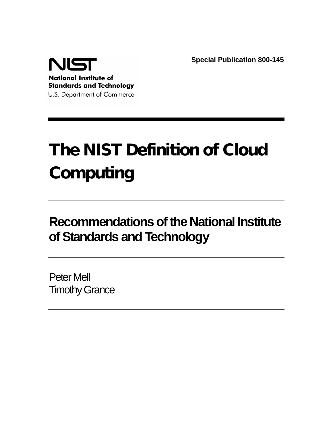

**Special Publication 800-145**

# The NIST Definition of Cloud **Computing**

## **Recommendations of the National Institute of Standards and Technology**

Peter Mell Timothy Grance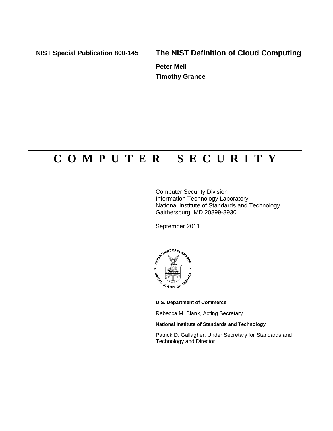**NIST Special Publication 800-145 The NIST Definition of Cloud Computing**

**Peter Mell Timothy Grance**

### **C O M P U T E R S E C U R I T Y**

Computer Security Division Information Technology Laboratory National Institute of Standards and Technology Gaithersburg, MD 20899-8930

September 2011



**U.S. Department of Commerce**

Rebecca M. Blank, Acting Secretary

#### **National Institute of Standards and Technology**

Patrick D. Gallagher, Under Secretary for Standards and Technology and Director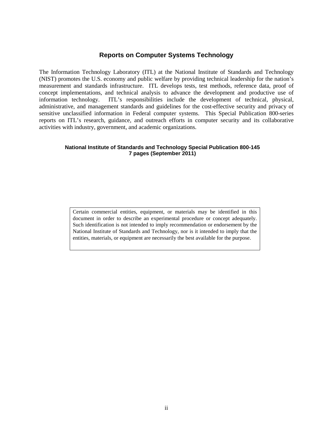#### **Reports on Computer Systems Technology**

The Information Technology Laboratory (ITL) at the National Institute of Standards and Technology (NIST) promotes the U.S. economy and public welfare by providing technical leadership for the nation's measurement and standards infrastructure. ITL develops tests, test methods, reference data, proof of concept implementations, and technical analysis to advance the development and productive use of information technology. ITL's responsibilities include the development of technical, physical, administrative, and management standards and guidelines for the cost-effective security and privacy of sensitive unclassified information in Federal computer systems. This Special Publication 800-series reports on ITL's research, guidance, and outreach efforts in computer security and its collaborative activities with industry, government, and academic organizations.

#### **National Institute of Standards and Technology Special Publication 800-145 7 pages (September 2011)**

Certain commercial entities, equipment, or materials may be identified in this document in order to describe an experimental procedure or concept adequately. Such identification is not intended to imply recommendation or endorsement by the National Institute of Standards and Technology, nor is it intended to imply that the entities, materials, or equipment are necessarily the best available for the purpose.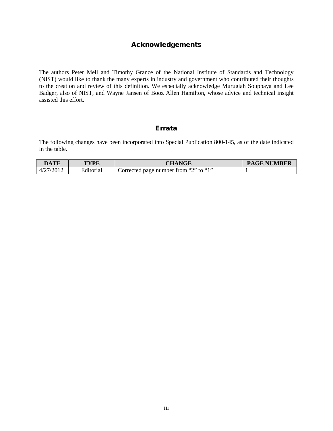#### Acknowledgements

The authors Peter Mell and Timothy Grance of the National Institute of Standards and Technology (NIST) would like to thank the many experts in industry and government who contributed their thoughts to the creation and review of this definition. We especially acknowledge Murugiah Souppaya and Lee Badger, also of NIST, and Wayne Jansen of Booz Allen Hamilton, whose advice and technical insight assisted this effort.

#### Errata

The following changes have been incorporated into Special Publication 800-145, as of the date indicated in the table.

| <b>DATE</b> | <b>TYPE</b> | CHANGE                                | <b>PAGE NUMBER</b> |
|-------------|-------------|---------------------------------------|--------------------|
| 4/27/2012   | Editorial   | Corrected page number from "2" to "1" |                    |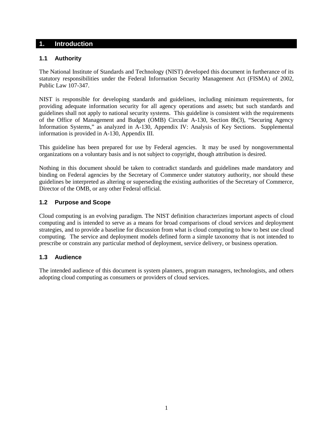#### **1. Introduction**

#### **1.1 Authority**

The National Institute of Standards and Technology (NIST) developed this document in furtherance of its statutory responsibilities under the Federal Information Security Management Act (FISMA) of 2002, Public Law 107-347.

NIST is responsible for developing standards and guidelines, including minimum requirements, for providing adequate information security for all agency operations and assets; but such standards and guidelines shall not apply to national security systems. This guideline is consistent with the requirements of the Office of Management and Budget (OMB) Circular A-130, Section 8b(3), "Securing Agency Information Systems," as analyzed in A-130, Appendix IV: Analysis of Key Sections. Supplemental information is provided in A-130, Appendix III.

This guideline has been prepared for use by Federal agencies. It may be used by nongovernmental organizations on a voluntary basis and is not subject to copyright, though attribution is desired.

Nothing in this document should be taken to contradict standards and guidelines made mandatory and binding on Federal agencies by the Secretary of Commerce under statutory authority, nor should these guidelines be interpreted as altering or superseding the existing authorities of the Secretary of Commerce, Director of the OMB, or any other Federal official.

#### **1.2 Purpose and Scope**

Cloud computing is an evolving paradigm. The NIST definition characterizes important aspects of cloud computing and is intended to serve as a means for broad comparisons of cloud services and deployment strategies, and to provide a baseline for discussion from what is cloud computing to how to best use cloud computing. The service and deployment models defined form a simple taxonomy that is not intended to prescribe or constrain any particular method of deployment, service delivery, or business operation.

#### **1.3 Audience**

The intended audience of this document is system planners, program managers, technologists, and others adopting cloud computing as consumers or providers of cloud services.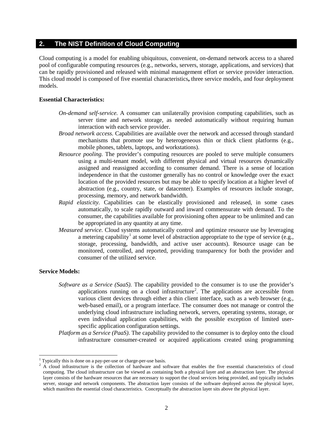#### **2. The NIST Definition of Cloud Computing**

Cloud computing is a model for enabling ubiquitous, convenient, on-demand network access to a shared pool of configurable computing resources (e.g., networks, servers, storage, applications, and services) that can be rapidly provisioned and released with minimal management effort or service provider interaction. This cloud model is composed of five essential characteristics**,** three service models, and four deployment models.

#### **Essential Characteristics:**

- *On-demand self-service.* A consumer can unilaterally provision computing capabilities, such as server time and network storage, as needed automatically without requiring human interaction with each service provider.
- *Broad network access.* Capabilities are available over the network and accessed through standard mechanisms that promote use by heterogeneous thin or thick client platforms (e.g., mobile phones, tablets, laptops, and workstations).
- *Resource pooling.* The provider's computing resources are pooled to serve multiple consumers using a multi-tenant model, with different physical and virtual resources dynamically assigned and reassigned according to consumer demand. There is a sense of location independence in that the customer generally has no control or knowledge over the exact location of the provided resources but may be able to specify location at a higher level of abstraction (e.g., country, state, or datacenter). Examples of resources include storage, processing, memory, and network bandwidth.
- *Rapid elasticity.* Capabilities can be elastically provisioned and released, in some cases automatically, to scale rapidly outward and inward commensurate with demand. To the consumer, the capabilities available for provisioning often appear to be unlimited and can be appropriated in any quantity at any time.
- *Measured service.* Cloud systems automatically control and optimize resource use by leveraging a metering capability<sup>[1](#page-5-0)</sup> at some level of abstraction appropriate to the type of service (e.g., storage, processing, bandwidth, and active user accounts). Resource usage can be monitored, controlled, and reported, providing transparency for both the provider and consumer of the utilized service.

#### **Service Models:**

- *Software as a Service (SaaS).* The capability provided to the consumer is to use the provider's applications running on a cloud infrastructure<sup>[2](#page-5-1)</sup>. The applications are accessible from various client devices through either a thin client interface, such as a web browser (e.g., web-based email), or a program interface. The consumer does not manage or control the underlying cloud infrastructure including network, servers, operating systems, storage, or even individual application capabilities, with the possible exception of limited userspecific application configuration settings.
- *Platform as a Service (PaaS)*. The capability provided to the consumer is to deploy onto the cloud infrastructure consumer-created or acquired applications created using programming

<span id="page-5-1"></span><span id="page-5-0"></span>

<sup>&</sup>lt;sup>1</sup> Typically this is done on a pay-per-use or charge-per-use basis. <sup>2</sup> A cloud infrastructure is the collection of hardware and software that enables the five essential characteristics of cloud computing. The cloud infrastructure can be viewed as containing both a physical layer and an abstraction layer. The physical layer consists of the hardware resources that are necessary to support the cloud services being provided, and typically includes server, storage and network components. The abstraction layer consists of the software deployed across the physical layer, which manifests the essential cloud characteristics. Conceptually the abstraction layer sits above the physical layer.